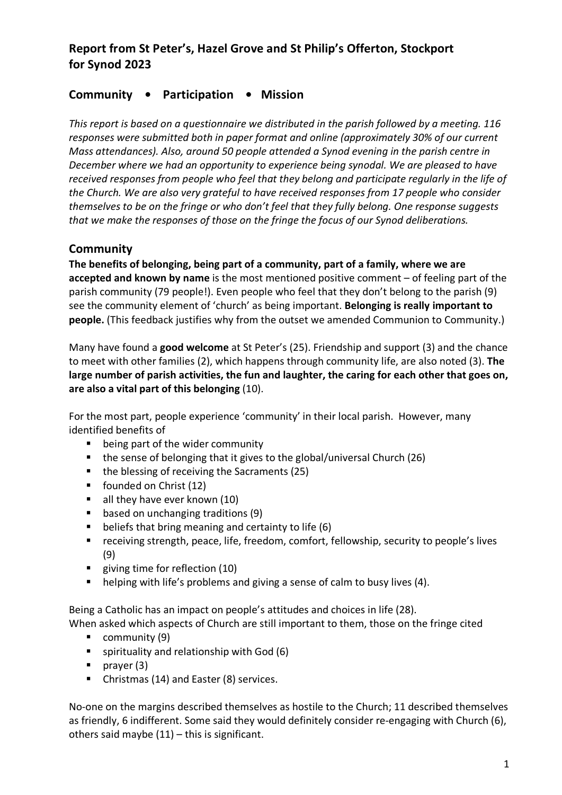# **Report from St Peter's, Hazel Grove and St Philip's Offerton, Stockport for Synod 2023**

# **Community • Participation • Mission**

*This report is based on a questionnaire we distributed in the parish followed by a meeting. 116 responses were submitted both in paper format and online (approximately 30% of our current Mass attendances). Also, around 50 people attended a Synod evening in the parish centre in December where we had an opportunity to experience being synodal. We are pleased to have received responses from people who feel that they belong and participate regularly in the life of the Church. We are also very grateful to have received responses from 17 people who consider themselves to be on the fringe or who don't feel that they fully belong. One response suggests that we make the responses of those on the fringe the focus of our Synod deliberations.*

# **Community**

**The benefits of belonging, being part of a community, part of a family, where we are accepted and known by name** is the most mentioned positive comment – of feeling part of the parish community (79 people!). Even people who feel that they don't belong to the parish (9) see the community element of 'church' as being important. **Belonging is really important to people.** (This feedback justifies why from the outset we amended Communion to Community.)

Many have found a **good welcome** at St Peter's (25). Friendship and support (3) and the chance to meet with other families (2), which happens through community life, are also noted (3). **The large number of parish activities, the fun and laughter, the caring for each other that goes on, are also a vital part of this belonging** (10).

For the most part, people experience 'community' in their local parish. However, many identified benefits of

- being part of the wider community
- the sense of belonging that it gives to the global/universal Church (26)
- the blessing of receiving the Sacraments (25)
- founded on Christ (12)
- all they have ever known (10)
- based on unchanging traditions (9)
- beliefs that bring meaning and certainty to life (6)
- receiving strength, peace, life, freedom, comfort, fellowship, security to people's lives (9)
- giving time for reflection (10)
- helping with life's problems and giving a sense of calm to busy lives (4).

Being a Catholic has an impact on people's attitudes and choices in life (28).

When asked which aspects of Church are still important to them, those on the fringe cited

- community (9)
- spirituality and relationship with God (6)
- prayer (3)
- Christmas (14) and Easter (8) services.

No-one on the margins described themselves as hostile to the Church; 11 described themselves as friendly, 6 indifferent. Some said they would definitely consider re-engaging with Church (6), others said maybe  $(11)$  – this is significant.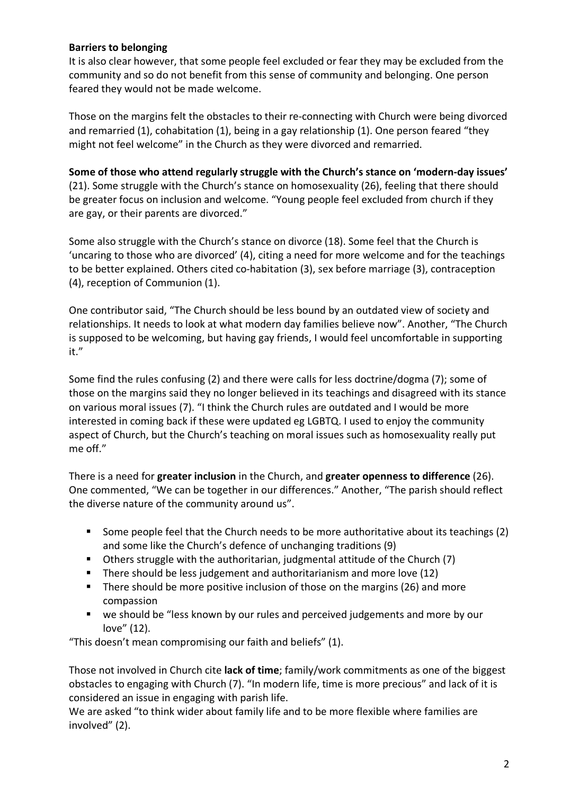#### **Barriers to belonging**

It is also clear however, that some people feel excluded or fear they may be excluded from the community and so do not benefit from this sense of community and belonging. One person feared they would not be made welcome.

Those on the margins felt the obstacles to their re-connecting with Church were being divorced and remarried (1), cohabitation (1), being in a gay relationship (1). One person feared "they might not feel welcome" in the Church as they were divorced and remarried.

#### **Some of those who attend regularly struggle with the Church's stance on 'modern-day issues'**

(21). Some struggle with the Church's stance on homosexuality (26), feeling that there should be greater focus on inclusion and welcome. "Young people feel excluded from church if they are gay, or their parents are divorced."

Some also struggle with the Church's stance on divorce (18). Some feel that the Church is 'uncaring to those who are divorced' (4), citing a need for more welcome and for the teachings to be better explained. Others cited co-habitation (3), sex before marriage (3), contraception (4), reception of Communion (1).

One contributor said, "The Church should be less bound by an outdated view of society and relationships. It needs to look at what modern day families believe now". Another, "The Church is supposed to be welcoming, but having gay friends, I would feel uncomfortable in supporting it."

Some find the rules confusing (2) and there were calls for less doctrine/dogma (7); some of those on the margins said they no longer believed in its teachings and disagreed with its stance on various moral issues (7). "I think the Church rules are outdated and I would be more interested in coming back if these were updated eg LGBTQ. I used to enjoy the community aspect of Church, but the Church's teaching on moral issues such as homosexuality really put me off."

There is a need for **greater inclusion** in the Church, and **greater openness to difference** (26). One commented, "We can be together in our differences." Another, "The parish should reflect the diverse nature of the community around us".

- Some people feel that the Church needs to be more authoritative about its teachings (2) and some like the Church's defence of unchanging traditions (9)
- Others struggle with the authoritarian, judgmental attitude of the Church (7)
- There should be less judgement and authoritarianism and more love (12)
- There should be more positive inclusion of those on the margins (26) and more compassion
- we should be "less known by our rules and perceived judgements and more by our love" (12).

"This doesn't mean compromising our faith and beliefs" (1).

Those not involved in Church cite **lack of time**; family/work commitments as one of the biggest obstacles to engaging with Church (7). "In modern life, time is more precious" and lack of it is considered an issue in engaging with parish life.

We are asked "to think wider about family life and to be more flexible where families are involved" (2).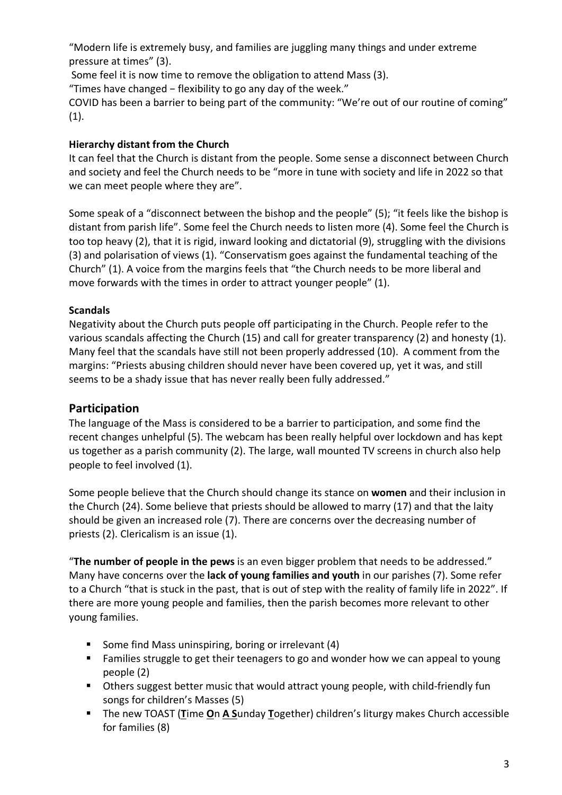"Modern life is extremely busy, and families are juggling many things and under extreme pressure at times" (3).

Some feel it is now time to remove the obligation to attend Mass (3).

"Times have changed − flexibility to go any day of the week."

COVID has been a barrier to being part of the community: "We're out of our routine of coming"  $(1).$ 

## **Hierarchy distant from the Church**

It can feel that the Church is distant from the people. Some sense a disconnect between Church and society and feel the Church needs to be "more in tune with society and life in 2022 so that we can meet people where they are".

Some speak of a "disconnect between the bishop and the people" (5); "it feels like the bishop is distant from parish life". Some feel the Church needs to listen more (4). Some feel the Church is too top heavy (2), that it is rigid, inward looking and dictatorial (9), struggling with the divisions (3) and polarisation of views (1). "Conservatism goes against the fundamental teaching of the Church" (1). A voice from the margins feels that "the Church needs to be more liberal and move forwards with the times in order to attract younger people" (1).

## **Scandals**

Negativity about the Church puts people off participating in the Church. People refer to the various scandals affecting the Church (15) and call for greater transparency (2) and honesty (1). Many feel that the scandals have still not been properly addressed (10). A comment from the margins: "Priests abusing children should never have been covered up, yet it was, and still seems to be a shady issue that has never really been fully addressed."

# **Participation**

The language of the Mass is considered to be a barrier to participation, and some find the recent changes unhelpful (5). The webcam has been really helpful over lockdown and has kept us together as a parish community (2). The large, wall mounted TV screens in church also help people to feel involved (1).

Some people believe that the Church should change its stance on **women** and their inclusion in the Church (24). Some believe that priests should be allowed to marry (17) and that the laity should be given an increased role (7). There are concerns over the decreasing number of priests (2). Clericalism is an issue (1).

"**The number of people in the pews** is an even bigger problem that needs to be addressed." Many have concerns over the **lack of young families and youth** in our parishes (7). Some refer to a Church "that is stuck in the past, that is out of step with the reality of family life in 2022". If there are more young people and families, then the parish becomes more relevant to other young families.

- Some find Mass uninspiring, boring or irrelevant (4)
- Families struggle to get their teenagers to go and wonder how we can appeal to young people (2)
- Others suggest better music that would attract young people, with child-friendly fun songs for children's Masses (5)
- The new TOAST (Time On A Sunday Together) children's liturgy makes Church accessible for families (8)